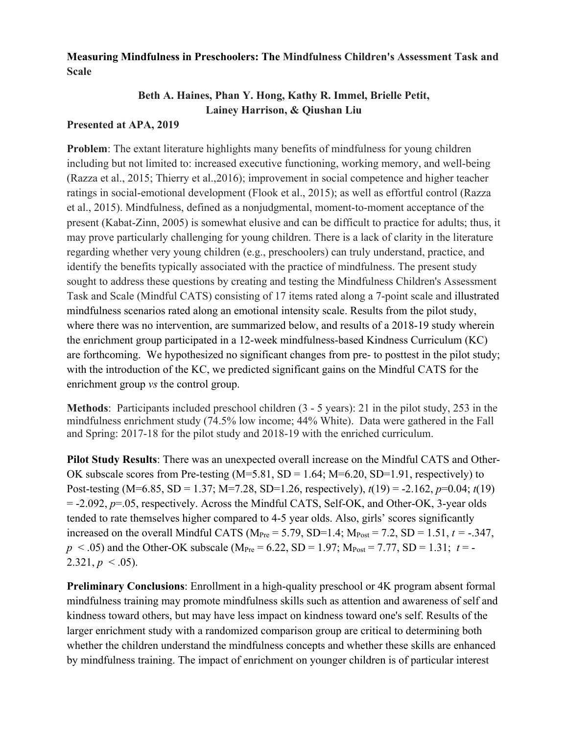## **Measuring Mindfulness in Preschoolers: The Mindfulness Children's Assessment Task and Scale**

## **Beth A. Haines, Phan Y. Hong, Kathy R. Immel, Brielle Petit, Lainey Harrison, & Qiushan Liu**

## **Presented at APA, 2019**

**Problem**: The extant literature highlights many benefits of mindfulness for young children including but not limited to: increased executive functioning, working memory, and well-being (Razza et al., 2015; Thierry et al.,2016); improvement in social competence and higher teacher ratings in social-emotional development (Flook et al., 2015); as well as effortful control (Razza et al., 2015). Mindfulness, defined as a nonjudgmental, moment-to-moment acceptance of the present (Kabat-Zinn, 2005) is somewhat elusive and can be difficult to practice for adults; thus, it may prove particularly challenging for young children. There is a lack of clarity in the literature regarding whether very young children (e.g., preschoolers) can truly understand, practice, and identify the benefits typically associated with the practice of mindfulness. The present study sought to address these questions by creating and testing the Mindfulness Children's Assessment Task and Scale (Mindful CATS) consisting of 17 items rated along a 7-point scale and illustrated mindfulness scenarios rated along an emotional intensity scale. Results from the pilot study, where there was no intervention, are summarized below, and results of a 2018-19 study wherein the enrichment group participated in a 12-week mindfulness-based Kindness Curriculum (KC) are forthcoming. We hypothesized no significant changes from pre- to posttest in the pilot study; with the introduction of the KC, we predicted significant gains on the Mindful CATS for the enrichment group *vs* the control group.

**Methods**: Participants included preschool children (3 - 5 years): 21 in the pilot study, 253 in the mindfulness enrichment study (74.5% low income; 44% White). Data were gathered in the Fall and Spring: 2017-18 for the pilot study and 2018-19 with the enriched curriculum.

**Pilot Study Results**: There was an unexpected overall increase on the Mindful CATS and Other-OK subscale scores from Pre-testing  $(M=5.81, SD=1.64; M=6.20, SD=1.91$ , respectively) to Post-testing (M=6.85, SD = 1.37; M=7.28, SD=1.26, respectively), *t*(19) = -2.162, *p*=0.04; *t*(19) = -2.092, *p*=.05, respectively. Across the Mindful CATS, Self-OK, and Other-OK, 3-year olds tended to rate themselves higher compared to 4-5 year olds. Also, girls' scores significantly increased on the overall Mindful CATS ( $M_{\text{Pre}} = 5.79$ , SD=1.4;  $M_{\text{Post}} = 7.2$ , SD = 1.51,  $t = -0.347$ ,  $p < .05$ ) and the Other-OK subscale (M<sub>Pre</sub> = 6.22, SD = 1.97; M<sub>Post</sub> = 7.77, SD = 1.31; *t* = - $2.321, p \leq .05$ ).

**Preliminary Conclusions**: Enrollment in a high-quality preschool or 4K program absent formal mindfulness training may promote mindfulness skills such as attention and awareness of self and kindness toward others, but may have less impact on kindness toward one's self. Results of the larger enrichment study with a randomized comparison group are critical to determining both whether the children understand the mindfulness concepts and whether these skills are enhanced by mindfulness training. The impact of enrichment on younger children is of particular interest